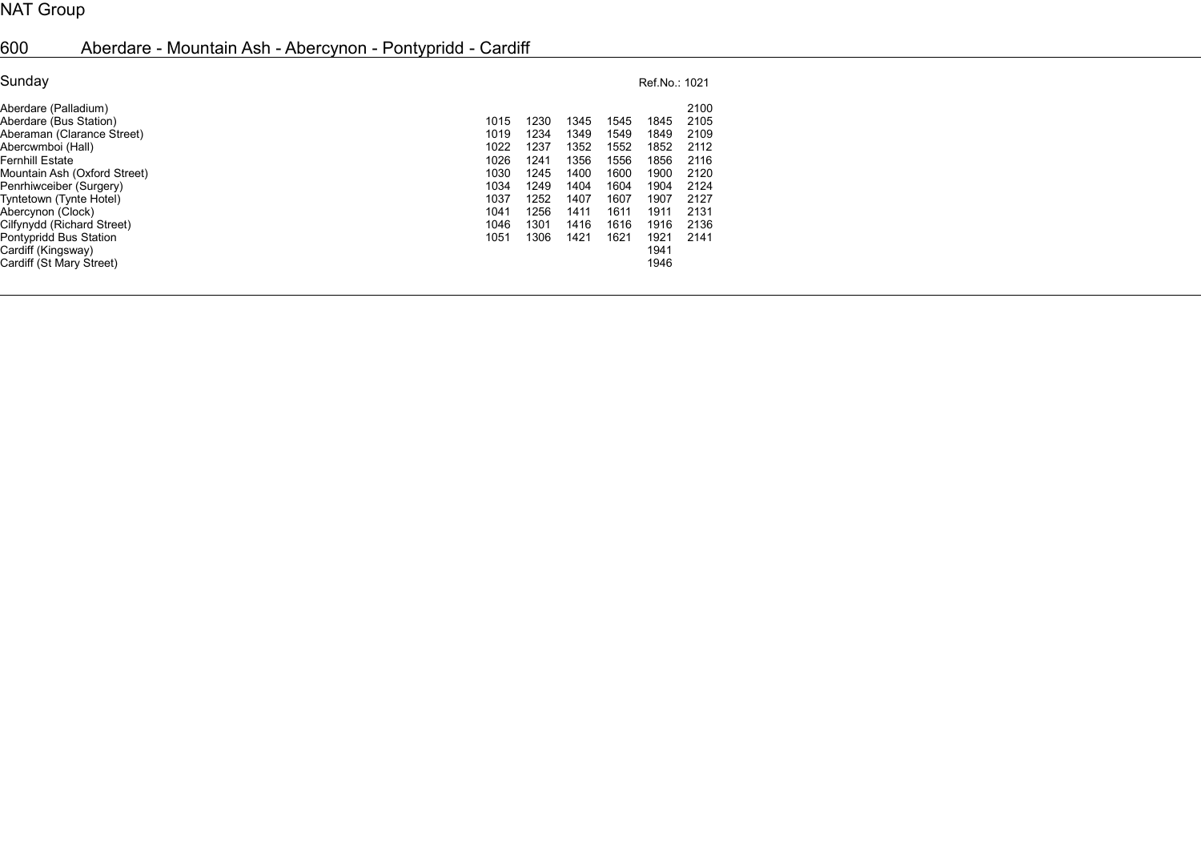## NAT Group

## 600 Aberdare - Mountain Ash - Abercynon - Pontypridd - Cardiff

| Sunday                                                                                                                                                                                                                                                                                  | Ref.No.: 1021                                                                |                                                                              |                                                                              |                                                                              |                                                                              |                                                                                      |  |  |
|-----------------------------------------------------------------------------------------------------------------------------------------------------------------------------------------------------------------------------------------------------------------------------------------|------------------------------------------------------------------------------|------------------------------------------------------------------------------|------------------------------------------------------------------------------|------------------------------------------------------------------------------|------------------------------------------------------------------------------|--------------------------------------------------------------------------------------|--|--|
| Aberdare (Palladium)<br>Aberdare (Bus Station)<br>Aberaman (Clarance Street)<br>Abercwmboi (Hall)<br>Fernhill Estate<br>Mountain Ash (Oxford Street)<br>Penrhiwceiber (Surgery)<br>Tyntetown (Tynte Hotel)<br>Abercynon (Clock)<br>Cilfynydd (Richard Street)<br>Pontypridd Bus Station | 1015<br>1019<br>1022<br>1026<br>1030<br>1034<br>1037<br>1041<br>1046<br>1051 | 1230<br>1234<br>1237<br>1241<br>1245<br>1249<br>1252<br>1256<br>1301<br>1306 | 1345<br>1349<br>1352<br>1356<br>1400<br>1404<br>1407<br>1411<br>1416<br>1421 | 1545<br>1549<br>1552<br>1556<br>1600<br>1604<br>1607<br>1611<br>1616<br>1621 | 1845<br>1849<br>1852<br>1856<br>1900<br>1904<br>1907<br>1911<br>1916<br>1921 | 2100<br>2105<br>2109<br>2112<br>2116<br>2120<br>2124<br>2127<br>2131<br>2136<br>2141 |  |  |
| Cardiff (Kingsway)<br>Cardiff (St Mary Street)                                                                                                                                                                                                                                          |                                                                              |                                                                              |                                                                              |                                                                              | 1941<br>1946                                                                 |                                                                                      |  |  |